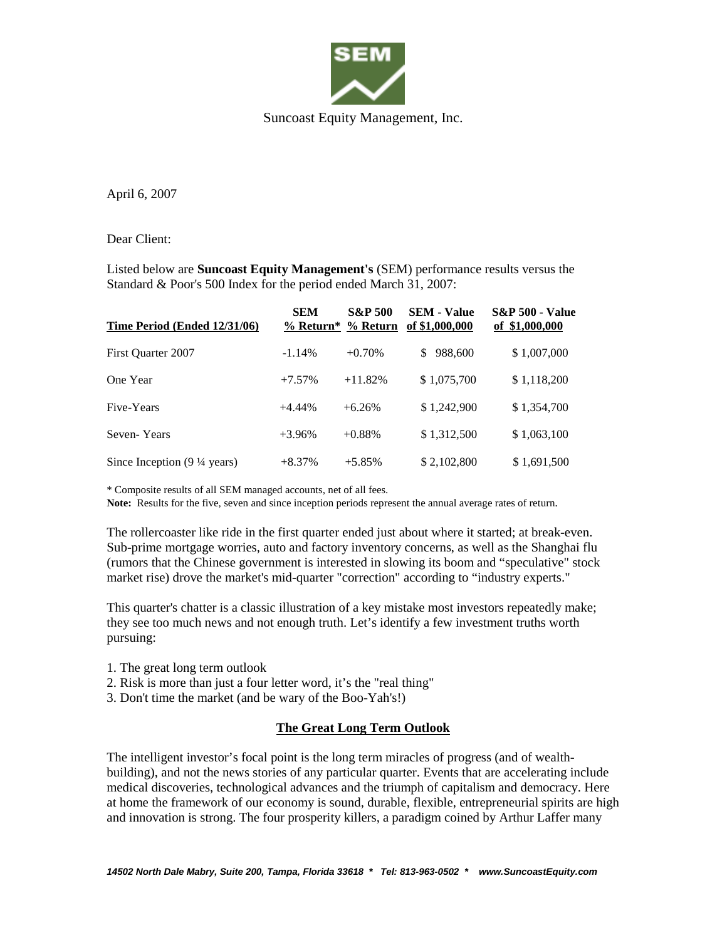

April 6, 2007

Dear Client:

Listed below are **Suncoast Equity Management's** (SEM) performance results versus the Standard & Poor's 500 Index for the period ended March 31, 2007:

| Time Period (Ended 12/31/06)                   | <b>SEM</b> | <b>S&amp;P 500</b><br>% Return* % Return | <b>SEM - Value</b><br>of \$1,000,000 | <b>S&amp;P 500 - Value</b><br>of \$1,000,000 |
|------------------------------------------------|------------|------------------------------------------|--------------------------------------|----------------------------------------------|
| First Ouarter 2007                             | $-1.14%$   | $+0.70%$                                 | 988,600<br>\$                        | \$1,007,000                                  |
| One Year                                       | $+7.57%$   | $+11.82%$                                | \$1,075,700                          | \$1,118,200                                  |
| Five-Years                                     | $+4.44\%$  | $+6.26%$                                 | \$1,242,900                          | \$1,354,700                                  |
| Seven-Years                                    | $+3.96%$   | $+0.88%$                                 | \$1,312,500                          | \$1,063,100                                  |
| Since Inception $(9\frac{1}{4} \text{ years})$ | $+8.37%$   | $+5.85%$                                 | \$2,102,800                          | \$1,691,500                                  |

\* Composite results of all SEM managed accounts, net of all fees.

**Note:** Results for the five, seven and since inception periods represent the annual average rates of return.

The rollercoaster like ride in the first quarter ended just about where it started; at break-even. Sub-prime mortgage worries, auto and factory inventory concerns, as well as the Shanghai flu (rumors that the Chinese government is interested in slowing its boom and "speculative" stock market rise) drove the market's mid-quarter "correction" according to "industry experts."

This quarter's chatter is a classic illustration of a key mistake most investors repeatedly make; they see too much news and not enough truth. Let's identify a few investment truths worth pursuing:

- 1. The great long term outlook
- 2. Risk is more than just a four letter word, it's the "real thing"
- 3. Don't time the market (and be wary of the Boo-Yah's!)

## **The Great Long Term Outlook**

The intelligent investor's focal point is the long term miracles of progress (and of wealthbuilding), and not the news stories of any particular quarter. Events that are accelerating include medical discoveries, technological advances and the triumph of capitalism and democracy. Here at home the framework of our economy is sound, durable, flexible, entrepreneurial spirits are high and innovation is strong. The four prosperity killers, a paradigm coined by Arthur Laffer many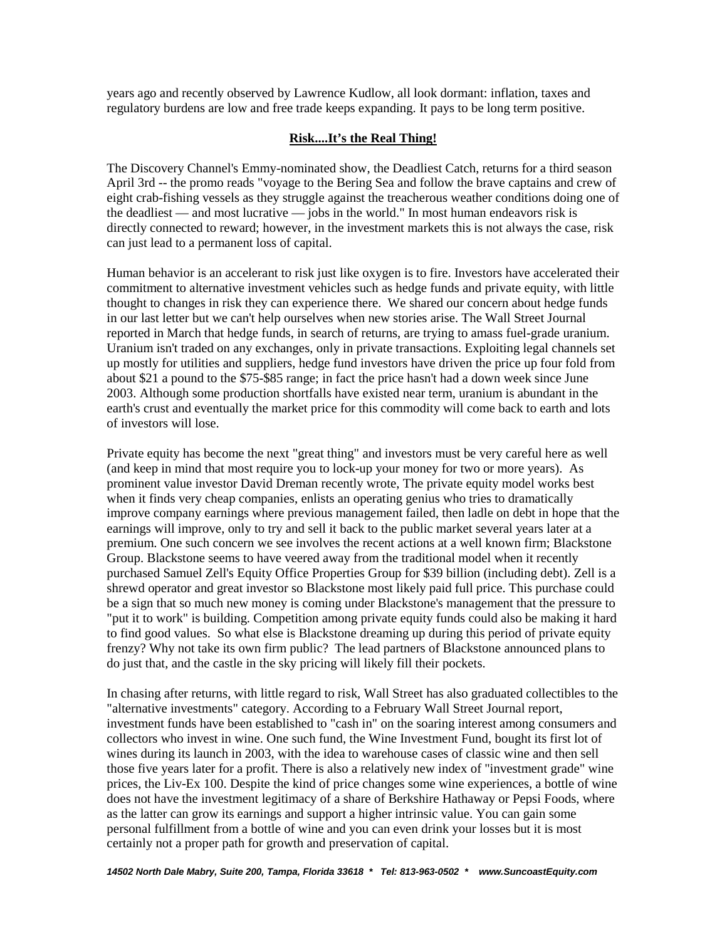years ago and recently observed by Lawrence Kudlow, all look dormant: inflation, taxes and regulatory burdens are low and free trade keeps expanding. It pays to be long term positive.

## **Risk....It's the Real Thing!**

The Discovery Channel's Emmy-nominated show, the Deadliest Catch, returns for a third season April 3rd -- the promo reads "voyage to the Bering Sea and follow the brave captains and crew of eight crab-fishing vessels as they struggle against the treacherous weather conditions doing one of the deadliest — and most lucrative — jobs in the world." In most human endeavors risk is directly connected to reward; however, in the investment markets this is not always the case, risk can just lead to a permanent loss of capital.

Human behavior is an accelerant to risk just like oxygen is to fire. Investors have accelerated their commitment to alternative investment vehicles such as hedge funds and private equity, with little thought to changes in risk they can experience there. We shared our concern about hedge funds in our last letter but we can't help ourselves when new stories arise. The Wall Street Journal reported in March that hedge funds, in search of returns, are trying to amass fuel-grade uranium. Uranium isn't traded on any exchanges, only in private transactions. Exploiting legal channels set up mostly for utilities and suppliers, hedge fund investors have driven the price up four fold from about \$21 a pound to the \$75-\$85 range; in fact the price hasn't had a down week since June 2003. Although some production shortfalls have existed near term, uranium is abundant in the earth's crust and eventually the market price for this commodity will come back to earth and lots of investors will lose.

Private equity has become the next "great thing" and investors must be very careful here as well (and keep in mind that most require you to lock-up your money for two or more years). As prominent value investor David Dreman recently wrote, The private equity model works best when it finds very cheap companies, enlists an operating genius who tries to dramatically improve company earnings where previous management failed, then ladle on debt in hope that the earnings will improve, only to try and sell it back to the public market several years later at a premium. One such concern we see involves the recent actions at a well known firm; Blackstone Group. Blackstone seems to have veered away from the traditional model when it recently purchased Samuel Zell's Equity Office Properties Group for \$39 billion (including debt). Zell is a shrewd operator and great investor so Blackstone most likely paid full price. This purchase could be a sign that so much new money is coming under Blackstone's management that the pressure to "put it to work" is building. Competition among private equity funds could also be making it hard to find good values. So what else is Blackstone dreaming up during this period of private equity frenzy? Why not take its own firm public? The lead partners of Blackstone announced plans to do just that, and the castle in the sky pricing will likely fill their pockets.

In chasing after returns, with little regard to risk, Wall Street has also graduated collectibles to the "alternative investments" category. According to a February Wall Street Journal report, investment funds have been established to "cash in" on the soaring interest among consumers and collectors who invest in wine. One such fund, the Wine Investment Fund, bought its first lot of wines during its launch in 2003, with the idea to warehouse cases of classic wine and then sell those five years later for a profit. There is also a relatively new index of "investment grade" wine prices, the Liv-Ex 100. Despite the kind of price changes some wine experiences, a bottle of wine does not have the investment legitimacy of a share of Berkshire Hathaway or Pepsi Foods, where as the latter can grow its earnings and support a higher intrinsic value. You can gain some personal fulfillment from a bottle of wine and you can even drink your losses but it is most certainly not a proper path for growth and preservation of capital.